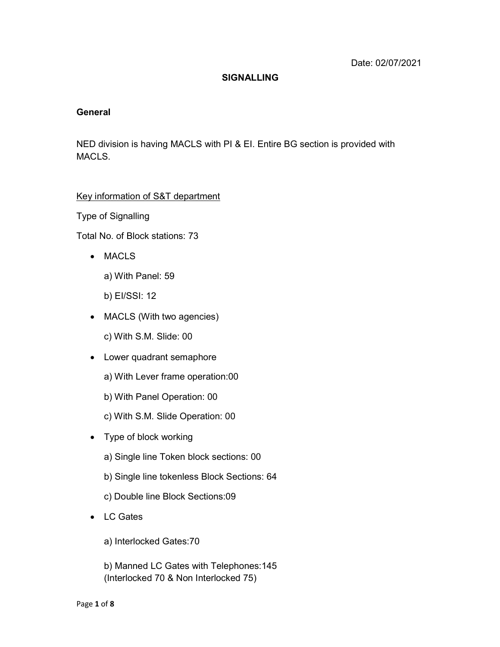#### **SIGNALLING**

#### General

NED division is having MACLS with PI & EI. Entire BG section is provided with MACLS.

#### Key information of S&T department

Type of Signalling

Total No. of Block stations: 73

- MACLS
	- a) With Panel: 59
	- b) EI/SSI: 12
- MACLS (With two agencies)
	- c) With S.M. Slide: 00
- Lower quadrant semaphore
	- a) With Lever frame operation:00
	- b) With Panel Operation: 00
	- c) With S.M. Slide Operation: 00
- Type of block working
	- a) Single line Token block sections: 00
	- b) Single line tokenless Block Sections: 64
	- c) Double line Block Sections:09
- LC Gates
	- a) Interlocked Gates:70
	- b) Manned LC Gates with Telephones:145 (Interlocked 70 & Non Interlocked 75)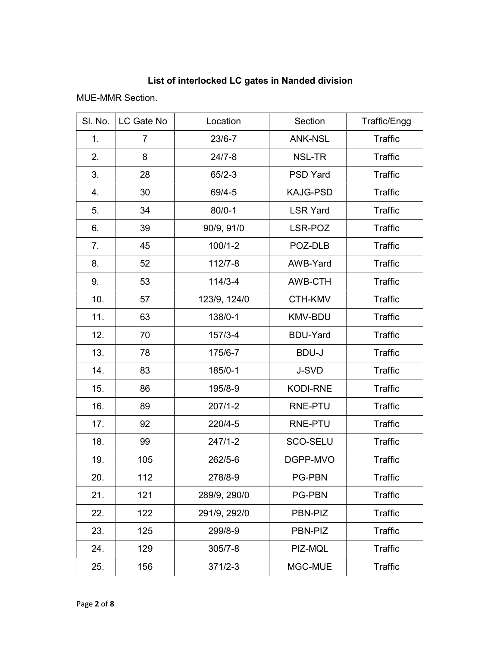## List of interlocked LC gates in Nanded division

MUE-MMR Section.

| SI. No. | LC Gate No     | Location     | Section         | Traffic/Engg   |
|---------|----------------|--------------|-----------------|----------------|
| 1.      | $\overline{7}$ | $23/6 - 7$   | <b>ANK-NSL</b>  | <b>Traffic</b> |
| 2.      | 8              | $24/7 - 8$   | NSL-TR          | <b>Traffic</b> |
| 3.      | 28             | $65/2-3$     | <b>PSD Yard</b> | <b>Traffic</b> |
| 4.      | 30             | 69/4-5       | <b>KAJG-PSD</b> | Traffic        |
| 5.      | 34             | $80/0 - 1$   | <b>LSR Yard</b> | <b>Traffic</b> |
| 6.      | 39             | 90/9, 91/0   | LSR-POZ         | <b>Traffic</b> |
| 7.      | 45             | $100/1 - 2$  | POZ-DLB         | <b>Traffic</b> |
| 8.      | 52             | $112/7 - 8$  | AWB-Yard        | <b>Traffic</b> |
| 9.      | 53             | $114/3 - 4$  | AWB-CTH         | <b>Traffic</b> |
| 10.     | 57             | 123/9, 124/0 | CTH-KMV         | <b>Traffic</b> |
| 11.     | 63             | 138/0-1      | <b>KMV-BDU</b>  | <b>Traffic</b> |
| 12.     | 70             | $157/3 - 4$  | <b>BDU-Yard</b> | <b>Traffic</b> |
| 13.     | 78             | 175/6-7      | <b>BDU-J</b>    | <b>Traffic</b> |
| 14.     | 83             | 185/0-1      | J-SVD           | <b>Traffic</b> |
| 15.     | 86             | 195/8-9      | <b>KODI-RNE</b> | <b>Traffic</b> |
| 16.     | 89             | $207/1 - 2$  | RNE-PTU         | <b>Traffic</b> |
| 17.     | 92             | 220/4-5      | RNE-PTU         | <b>Traffic</b> |
| 18.     | 99             | $247/1 - 2$  | SCO-SELU        | <b>Traffic</b> |
| 19.     | 105            | $262/5-6$    | DGPP-MVO        | <b>Traffic</b> |
| 20.     | 112            | 278/8-9      | PG-PBN          | <b>Traffic</b> |
| 21.     | 121            | 289/9, 290/0 | <b>PG-PBN</b>   | <b>Traffic</b> |
| 22.     | 122            | 291/9, 292/0 | PBN-PIZ         | <b>Traffic</b> |
| 23.     | 125            | 299/8-9      | PBN-PIZ         | <b>Traffic</b> |
| 24.     | 129            | $305/7 - 8$  | PIZ-MQL         | <b>Traffic</b> |
| 25.     | 156            | $371/2 - 3$  | MGC-MUE         | <b>Traffic</b> |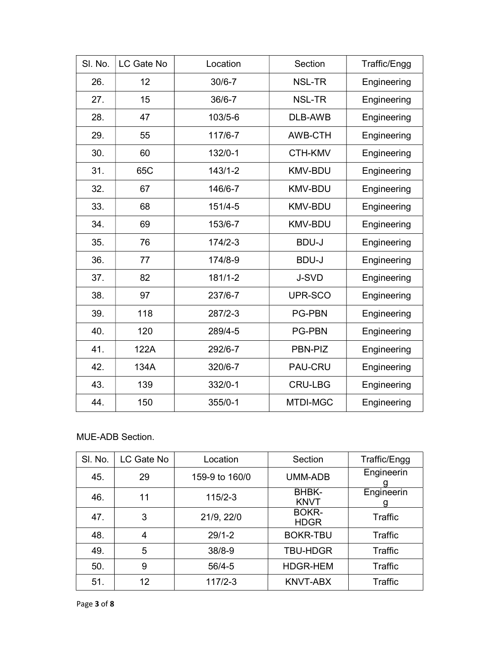| SI. No. | LC Gate No | Location    | Section        | Traffic/Engg |
|---------|------------|-------------|----------------|--------------|
| 26.     | 12         | $30/6 - 7$  | NSL-TR         | Engineering  |
| 27.     | 15         | $36/6 - 7$  | <b>NSL-TR</b>  | Engineering  |
| 28.     | 47         | 103/5-6     | <b>DLB-AWB</b> | Engineering  |
| 29.     | 55         | 117/6-7     | <b>AWB-CTH</b> | Engineering  |
| 30.     | 60         | $132/0-1$   | CTH-KMV        | Engineering  |
| 31.     | 65C        | $143/1 - 2$ | <b>KMV-BDU</b> | Engineering  |
| 32.     | 67         | 146/6-7     | <b>KMV-BDU</b> | Engineering  |
| 33.     | 68         | $151/4 - 5$ | <b>KMV-BDU</b> | Engineering  |
| 34.     | 69         | 153/6-7     | <b>KMV-BDU</b> | Engineering  |
| 35.     | 76         | $174/2-3$   | <b>BDU-J</b>   | Engineering  |
| 36.     | 77         | 174/8-9     | <b>BDU-J</b>   | Engineering  |
| 37.     | 82         | $181/1 - 2$ | J-SVD          | Engineering  |
| 38.     | 97         | 237/6-7     | UPR-SCO        | Engineering  |
| 39.     | 118        | 287/2-3     | <b>PG-PBN</b>  | Engineering  |
| 40.     | 120        | 289/4-5     | <b>PG-PBN</b>  | Engineering  |
| 41.     | 122A       | 292/6-7     | PBN-PIZ        | Engineering  |
| 42.     | 134A       | 320/6-7     | PAU-CRU        | Engineering  |
| 43.     | 139        | 332/0-1     | <b>CRU-LBG</b> | Engineering  |
| 44.     | 150        | $355/0-1$   | MTDI-MGC       | Engineering  |

### MUE-ADB Section.

| SI. No. | LC Gate No | Location       | Section                     | Traffic/Engg    |
|---------|------------|----------------|-----------------------------|-----------------|
| 45.     | 29         | 159-9 to 160/0 | UMM-ADB                     | Engineerin      |
| 46.     | 11         | $115/2 - 3$    | <b>BHBK-</b><br><b>KNVT</b> | Engineerin<br>g |
| 47.     | 3          | 21/9, 22/0     | <b>BOKR-</b><br><b>HDGR</b> | Traffic         |
| 48.     | 4          | $29/1 - 2$     | <b>BOKR-TBU</b>             | Traffic         |
| 49.     | 5          | $38/8 - 9$     | <b>TBU-HDGR</b>             | <b>Traffic</b>  |
| 50.     | 9          | $56/4 - 5$     | <b>HDGR-HEM</b>             | Traffic         |
| 51.     | 12         | $117/2 - 3$    | <b>KNVT-ABX</b>             | Traffic         |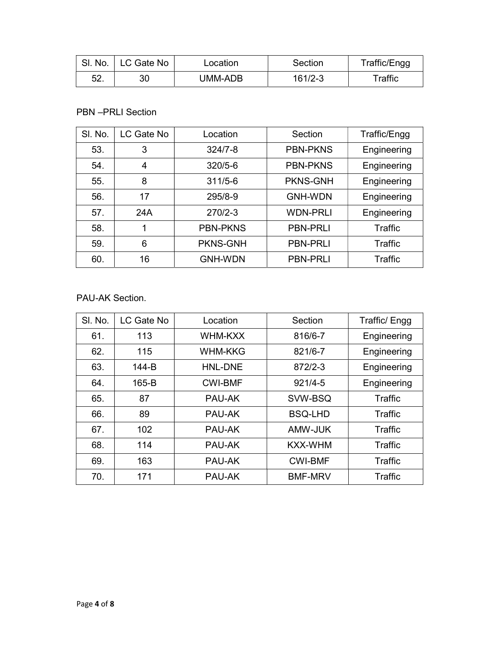|     | SI. No.   LC Gate No | Location | Section     | Traffic/Engg         |
|-----|----------------------|----------|-------------|----------------------|
| 52. |                      | UMM-ADB  | $161/2 - 3$ | $^\mathsf{T}$ raffic |

### PBN –PRLI Section

| SI. No. | LC Gate No | Location        | Section         | Traffic/Engg |
|---------|------------|-----------------|-----------------|--------------|
| 53.     | 3          | $324/7 - 8$     | <b>PBN-PKNS</b> | Engineering  |
| 54.     | 4          | $320/5 - 6$     | <b>PBN-PKNS</b> | Engineering  |
| 55.     | 8          | $311/5 - 6$     | <b>PKNS-GNH</b> | Engineering  |
| 56.     | 17         | 295/8-9         | <b>GNH-WDN</b>  | Engineering  |
| 57.     | 24A        | $270/2 - 3$     | <b>WDN-PRLI</b> | Engineering  |
| 58.     | 1          | <b>PBN-PKNS</b> | <b>PBN-PRLI</b> | Traffic      |
| 59.     | 6          | <b>PKNS-GNH</b> | <b>PBN-PRLI</b> | Traffic      |
| 60.     | 16         | <b>GNH-WDN</b>  | <b>PBN-PRLI</b> | Traffic      |

## PAU-AK Section.

| SI. No. | LC Gate No | Location       | Section        | Traffic/ Engg  |
|---------|------------|----------------|----------------|----------------|
| 61.     | 113        | WHM-KXX        | 816/6-7        | Engineering    |
| 62.     | 115        | <b>WHM-KKG</b> | 821/6-7        | Engineering    |
| 63.     | 144-B      | HNL-DNE        | 872/2-3        | Engineering    |
| 64.     | $165-B$    | <b>CWI-BMF</b> | $921/4 - 5$    | Engineering    |
| 65.     | 87         | PAU-AK         | SVW-BSQ        | Traffic        |
| 66.     | 89         | PAU-AK         | <b>BSQ-LHD</b> | <b>Traffic</b> |
| 67.     | 102        | PAU-AK         | AMW-JUK        | Traffic        |
| 68.     | 114        | PAU-AK         | <b>KXX-WHM</b> | Traffic        |
| 69.     | 163        | PAU-AK         | <b>CWI-BMF</b> | Traffic        |
| 70.     | 171        | PAU-AK         | <b>BMF-MRV</b> | Traffic        |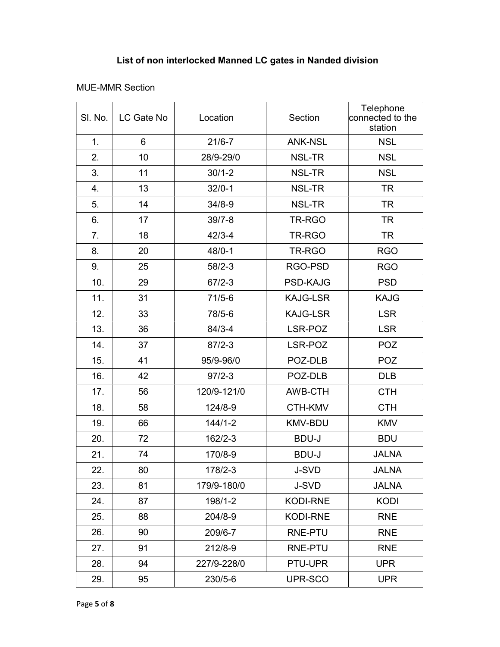# List of non interlocked Manned LC gates in Nanded division

## MUE-MMR Section

| SI. No. | LC Gate No | Location    | Section         | Telephone<br>connected to the<br>station |
|---------|------------|-------------|-----------------|------------------------------------------|
| 1.      | 6          | $21/6 - 7$  | <b>ANK-NSL</b>  | <b>NSL</b>                               |
| 2.      | 10         | 28/9-29/0   | NSL-TR          | <b>NSL</b>                               |
| 3.      | 11         | $30/1 - 2$  | <b>NSL-TR</b>   | <b>NSL</b>                               |
| 4.      | 13         | $32/0 - 1$  | <b>NSL-TR</b>   | <b>TR</b>                                |
| 5.      | 14         | $34/8 - 9$  | <b>NSL-TR</b>   | <b>TR</b>                                |
| 6.      | 17         | $39/7 - 8$  | TR-RGO          | <b>TR</b>                                |
| 7.      | 18         | $42/3 - 4$  | TR-RGO          | <b>TR</b>                                |
| 8.      | 20         | $48/0 - 1$  | TR-RGO          | <b>RGO</b>                               |
| 9.      | 25         | $58/2 - 3$  | RGO-PSD         | <b>RGO</b>                               |
| 10.     | 29         | $67/2 - 3$  | <b>PSD-KAJG</b> | <b>PSD</b>                               |
| 11.     | 31         | $71/5 - 6$  | <b>KAJG-LSR</b> | <b>KAJG</b>                              |
| 12.     | 33         | 78/5-6      | <b>KAJG-LSR</b> | <b>LSR</b>                               |
| 13.     | 36         | $84/3 - 4$  | LSR-POZ         | <b>LSR</b>                               |
| 14.     | 37         | $87/2 - 3$  | LSR-POZ         | <b>POZ</b>                               |
| 15.     | 41         | 95/9-96/0   | POZ-DLB         | <b>POZ</b>                               |
| 16.     | 42         | $97/2 - 3$  | POZ-DLB         | <b>DLB</b>                               |
| 17.     | 56         | 120/9-121/0 | AWB-CTH         | <b>CTH</b>                               |
| 18.     | 58         | 124/8-9     | CTH-KMV         | <b>CTH</b>                               |
| 19.     | 66         | $144/1 - 2$ | <b>KMV-BDU</b>  | <b>KMV</b>                               |
| 20.     | 72         | 162/2-3     | <b>BDU-J</b>    | <b>BDU</b>                               |
| 21.     | 74         | 170/8-9     | <b>BDU-J</b>    | <b>JALNA</b>                             |
| 22.     | 80         | 178/2-3     | <b>J-SVD</b>    | <b>JALNA</b>                             |
| 23.     | 81         | 179/9-180/0 | <b>J-SVD</b>    | <b>JALNA</b>                             |
| 24.     | 87         | 198/1-2     | <b>KODI-RNE</b> | <b>KODI</b>                              |
| 25.     | 88         | 204/8-9     | <b>KODI-RNE</b> | <b>RNE</b>                               |
| 26.     | 90         | 209/6-7     | RNE-PTU         | <b>RNE</b>                               |
| 27.     | 91         | 212/8-9     | <b>RNE-PTU</b>  | <b>RNE</b>                               |
| 28.     | 94         | 227/9-228/0 | PTU-UPR         | <b>UPR</b>                               |
| 29.     | 95         | 230/5-6     | UPR-SCO         | <b>UPR</b>                               |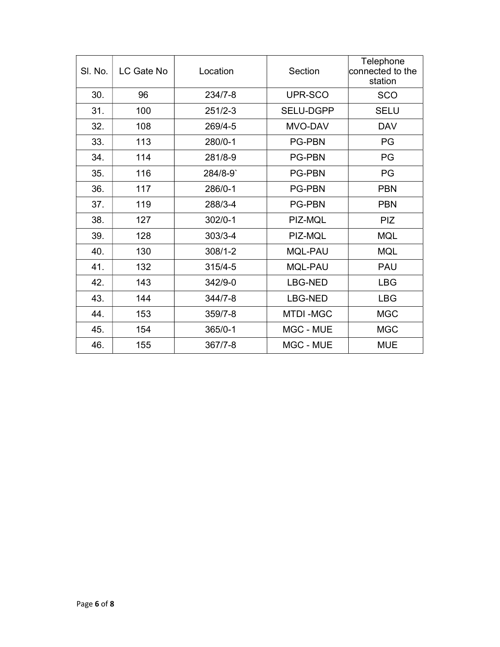| SI. No. | LC Gate No | Location    | Section          | Telephone<br>$ $ connected to the<br>station |
|---------|------------|-------------|------------------|----------------------------------------------|
| 30.     | 96         | $234/7 - 8$ | UPR-SCO          | <b>SCO</b>                                   |
| 31.     | 100        | $251/2-3$   | <b>SELU-DGPP</b> | <b>SELU</b>                                  |
| 32.     | 108        | 269/4-5     | MVO-DAV          | <b>DAV</b>                                   |
| 33.     | 113        | 280/0-1     | <b>PG-PBN</b>    | PG                                           |
| 34.     | 114        | 281/8-9     | <b>PG-PBN</b>    | PG                                           |
| 35.     | 116        | 284/8-9     | <b>PG-PBN</b>    | PG                                           |
| 36.     | 117        | 286/0-1     | <b>PG-PBN</b>    | <b>PBN</b>                                   |
| 37.     | 119        | 288/3-4     | <b>PG-PBN</b>    | <b>PBN</b>                                   |
| 38.     | 127        | $302/0 - 1$ | PIZ-MQL          | <b>PIZ</b>                                   |
| 39.     | 128        | $303/3 - 4$ | PIZ-MQL          | <b>MQL</b>                                   |
| 40.     | 130        | $308/1 - 2$ | <b>MQL-PAU</b>   | <b>MQL</b>                                   |
| 41.     | 132        | $315/4 - 5$ | <b>MQL-PAU</b>   | <b>PAU</b>                                   |
| 42.     | 143        | $342/9 - 0$ | <b>LBG-NED</b>   | <b>LBG</b>                                   |
| 43.     | 144        | $344/7 - 8$ | <b>LBG-NED</b>   | <b>LBG</b>                                   |
| 44.     | 153        | $359/7 - 8$ | <b>MTDI-MGC</b>  | <b>MGC</b>                                   |
| 45.     | 154        | $365/0-1$   | MGC - MUE        | <b>MGC</b>                                   |
| 46.     | 155        | $367/7 - 8$ | MGC - MUE        | <b>MUE</b>                                   |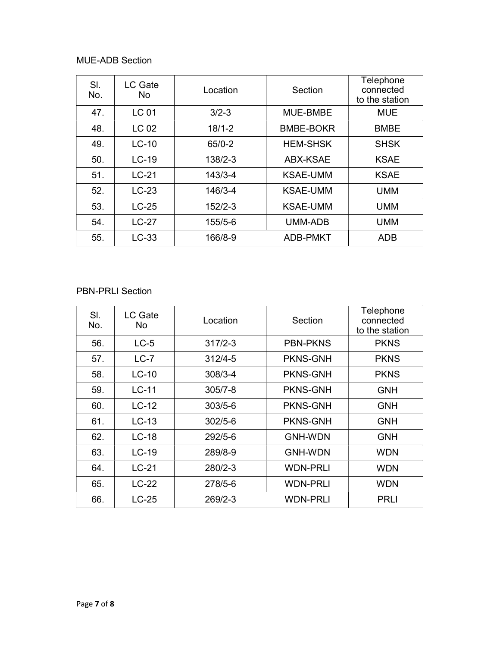## MUE-ADB Section

| SI.<br>No. | LC Gate<br>No. | Location    | Section          | Telephone<br>connected<br>to the station |
|------------|----------------|-------------|------------------|------------------------------------------|
| 47.        | <b>LC 01</b>   | $3/2 - 3$   | MUE-BMBE         | <b>MUE</b>                               |
| 48.        | LC 02          | $18/1 - 2$  | <b>BMBE-BOKR</b> | <b>BMBE</b>                              |
| 49.        | $LC-10$        | $65/0-2$    | <b>HEM-SHSK</b>  | <b>SHSK</b>                              |
| 50.        | $LC-19$        | $138/2 - 3$ | <b>ABX-KSAE</b>  | <b>KSAE</b>                              |
| 51.        | $LC-21$        | $143/3 - 4$ | <b>KSAE-UMM</b>  | <b>KSAE</b>                              |
| 52.        | $LC-23$        | 146/3-4     | <b>KSAE-UMM</b>  | <b>UMM</b>                               |
| 53.        | $LC-25$        | $152/2-3$   | <b>KSAE-UMM</b>  | <b>UMM</b>                               |
| 54.        | $LC-27$        | 155/5-6     | UMM-ADB          | <b>UMM</b>                               |
| 55.        | $LC-33$        | 166/8-9     | <b>ADB-PMKT</b>  | ADB                                      |

#### PBN-PRLI Section

| SI.<br>No. | LC Gate<br>No. | Location    | Section         | Telephone<br>connected<br>to the station |
|------------|----------------|-------------|-----------------|------------------------------------------|
| 56.        | $LC-5$         | $317/2 - 3$ | <b>PBN-PKNS</b> | <b>PKNS</b>                              |
| 57.        | $LC-7$         | $312/4 - 5$ | <b>PKNS-GNH</b> | <b>PKNS</b>                              |
| 58.        | $LC-10$        | $308/3 - 4$ | <b>PKNS-GNH</b> | <b>PKNS</b>                              |
| 59.        | $LC-11$        | $305/7 - 8$ | <b>PKNS-GNH</b> | <b>GNH</b>                               |
| 60.        | $LC-12$        | $303/5 - 6$ | <b>PKNS-GNH</b> | <b>GNH</b>                               |
| 61.        | $LC-13$        | $302/5 - 6$ | <b>PKNS-GNH</b> | <b>GNH</b>                               |
| 62.        | $LC-18$        | 292/5-6     | <b>GNH-WDN</b>  | <b>GNH</b>                               |
| 63.        | $LC-19$        | 289/8-9     | <b>GNH-WDN</b>  | <b>WDN</b>                               |
| 64.        | $LC-21$        | 280/2-3     | <b>WDN-PRLI</b> | <b>WDN</b>                               |
| 65.        | $LC-22$        | 278/5-6     | <b>WDN-PRLI</b> | <b>WDN</b>                               |
| 66.        | $LC-25$        | 269/2-3     | <b>WDN-PRLI</b> | <b>PRLI</b>                              |